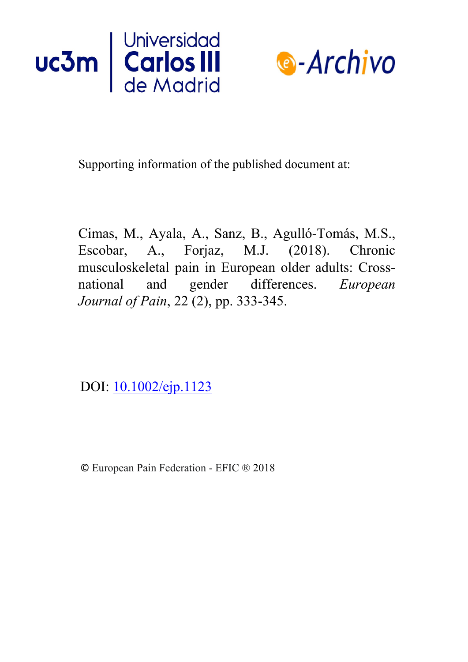



Supporting information of the published document at:

Cimas, M., Ayala, A., Sanz, B., Agulló-Tomás, M.S., Escobar, A., Forjaz, M.J. (2018). Chronic musculoskeletal pain in European older adults: Crossnational and gender differences. *European Journal of Pain*, 22 (2), pp. [333-345.](https://doi.org/10.1016/j.is.2017.09.002) 

DOI: [10.1002/ejp.1123](https://doi.org/10.1002/ejp.1123)

© European Pain Federation - EFIC ® 2018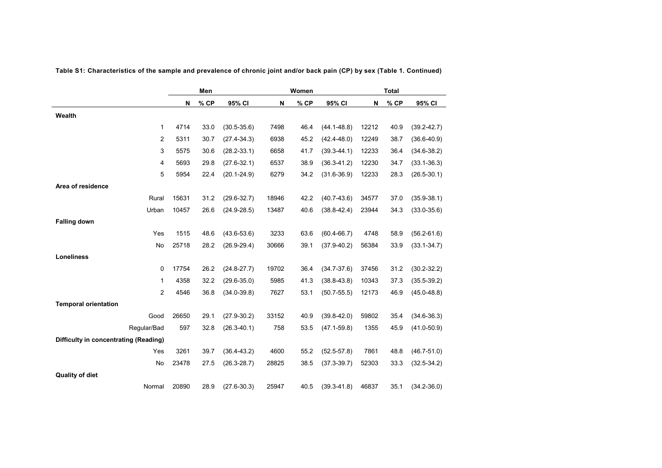|                                       | Men   |      |                 |       | Women |                 | <b>Total</b> |      |                 |
|---------------------------------------|-------|------|-----------------|-------|-------|-----------------|--------------|------|-----------------|
|                                       | N     | % CP | 95% CI          | N     | % CP  | 95% CI          | N            | % CP | 95% CI          |
| Wealth                                |       |      |                 |       |       |                 |              |      |                 |
| 1                                     | 4714  | 33.0 | $(30.5 - 35.6)$ | 7498  | 46.4  | $(44.1 - 48.8)$ | 12212        | 40.9 | $(39.2 - 42.7)$ |
| 2                                     | 5311  | 30.7 | $(27.4 - 34.3)$ | 6938  | 45.2  | $(42.4 - 48.0)$ | 12249        | 38.7 | $(36.6 - 40.9)$ |
| 3                                     | 5575  | 30.6 | $(28.2 - 33.1)$ | 6658  | 41.7  | $(39.3 - 44.1)$ | 12233        | 36.4 | $(34.6 - 38.2)$ |
| 4                                     | 5693  | 29.8 | $(27.6 - 32.1)$ | 6537  | 38.9  | $(36.3 - 41.2)$ | 12230        | 34.7 | $(33.1 - 36.3)$ |
| 5                                     | 5954  | 22.4 | $(20.1 - 24.9)$ | 6279  | 34.2  | $(31.6 - 36.9)$ | 12233        | 28.3 | $(26.5 - 30.1)$ |
| Area of residence                     |       |      |                 |       |       |                 |              |      |                 |
| Rural                                 | 15631 | 31.2 | $(29.6 - 32.7)$ | 18946 | 42.2  | $(40.7 - 43.6)$ | 34577        | 37.0 | $(35.9 - 38.1)$ |
| Urban                                 | 10457 | 26.6 | $(24.9 - 28.5)$ | 13487 | 40.6  | $(38.8 - 42.4)$ | 23944        | 34.3 | $(33.0 - 35.6)$ |
| <b>Falling down</b>                   |       |      |                 |       |       |                 |              |      |                 |
| Yes                                   | 1515  | 48.6 | $(43.6 - 53.6)$ | 3233  | 63.6  | $(60.4 - 66.7)$ | 4748         | 58.9 | $(56.2 - 61.6)$ |
| No                                    | 25718 | 28.2 | $(26.9 - 29.4)$ | 30666 | 39.1  | $(37.9 - 40.2)$ | 56384        | 33.9 | $(33.1 - 34.7)$ |
| <b>Loneliness</b>                     |       |      |                 |       |       |                 |              |      |                 |
| 0                                     | 17754 | 26.2 | $(24.8 - 27.7)$ | 19702 | 36.4  | $(34.7 - 37.6)$ | 37456        | 31.2 | $(30.2 - 32.2)$ |
| 1                                     | 4358  | 32.2 | $(29.6 - 35.0)$ | 5985  | 41.3  | $(38.8 - 43.8)$ | 10343        | 37.3 | $(35.5 - 39.2)$ |
| 2                                     | 4546  | 36.8 | $(34.0 - 39.8)$ | 7627  | 53.1  | $(50.7 - 55.5)$ | 12173        | 46.9 | $(45.0 - 48.8)$ |
| <b>Temporal orientation</b>           |       |      |                 |       |       |                 |              |      |                 |
| Good                                  | 26650 | 29.1 | $(27.9 - 30.2)$ | 33152 | 40.9  | $(39.8 - 42.0)$ | 59802        | 35.4 | $(34.6 - 36.3)$ |
| Regular/Bad                           | 597   | 32.8 | $(26.3 - 40.1)$ | 758   | 53.5  | $(47.1 - 59.8)$ | 1355         | 45.9 | $(41.0 - 50.9)$ |
| Difficulty in concentrating (Reading) |       |      |                 |       |       |                 |              |      |                 |
| Yes                                   | 3261  | 39.7 | $(36.4 - 43.2)$ | 4600  | 55.2  | $(52.5 - 57.8)$ | 7861         | 48.8 | $(46.7 - 51.0)$ |
| No                                    | 23478 | 27.5 | $(26.3 - 28.7)$ | 28825 | 38.5  | $(37.3 - 39.7)$ | 52303        | 33.3 | $(32.5 - 34.2)$ |
| <b>Quality of diet</b>                |       |      |                 |       |       |                 |              |      |                 |
| Normal                                | 20890 | 28.9 | $(27.6 - 30.3)$ | 25947 | 40.5  | $(39.3 - 41.8)$ | 46837        | 35.1 | $(34.2 - 36.0)$ |

**Table S1: Characteristics of the sample and prevalence of chronic joint and/or back pain (CP) by sex (Table 1. Continued)**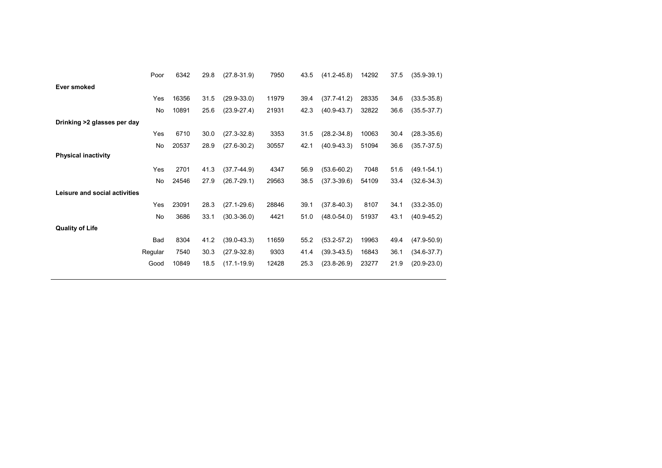|                               | Poor       | 6342  | 29.8 | $(27.8 - 31.9)$ | 7950  | 43.5 | $(41.2 - 45.8)$ | 14292 | 37.5 | $(35.9 - 39.1)$ |  |
|-------------------------------|------------|-------|------|-----------------|-------|------|-----------------|-------|------|-----------------|--|
| <b>Ever smoked</b>            |            |       |      |                 |       |      |                 |       |      |                 |  |
|                               | Yes        | 16356 | 31.5 | $(29.9 - 33.0)$ | 11979 | 39.4 | $(37.7 - 41.2)$ | 28335 | 34.6 | $(33.5 - 35.8)$ |  |
|                               | No         | 10891 | 25.6 | $(23.9 - 27.4)$ | 21931 | 42.3 | $(40.9 - 43.7)$ | 32822 | 36.6 | $(35.5 - 37.7)$ |  |
| Drinking >2 glasses per day   |            |       |      |                 |       |      |                 |       |      |                 |  |
|                               | Yes        | 6710  | 30.0 | $(27.3 - 32.8)$ | 3353  | 31.5 | $(28.2 - 34.8)$ | 10063 | 30.4 | $(28.3 - 35.6)$ |  |
|                               | No         | 20537 | 28.9 | $(27.6 - 30.2)$ | 30557 | 42.1 | $(40.9 - 43.3)$ | 51094 | 36.6 | $(35.7 - 37.5)$ |  |
| <b>Physical inactivity</b>    |            |       |      |                 |       |      |                 |       |      |                 |  |
|                               | Yes        | 2701  | 41.3 | $(37.7 - 44.9)$ | 4347  | 56.9 | $(53.6 - 60.2)$ | 7048  | 51.6 | $(49.1 - 54.1)$ |  |
|                               | No         | 24546 | 27.9 | $(26.7 - 29.1)$ | 29563 | 38.5 | $(37.3 - 39.6)$ | 54109 | 33.4 | $(32.6 - 34.3)$ |  |
| Leisure and social activities |            |       |      |                 |       |      |                 |       |      |                 |  |
|                               | Yes        | 23091 | 28.3 | $(27.1 - 29.6)$ | 28846 | 39.1 | $(37.8 - 40.3)$ | 8107  | 34.1 | $(33.2 - 35.0)$ |  |
|                               | No         | 3686  | 33.1 | $(30.3 - 36.0)$ | 4421  | 51.0 | $(48.0 - 54.0)$ | 51937 | 43.1 | $(40.9 - 45.2)$ |  |
| <b>Quality of Life</b>        |            |       |      |                 |       |      |                 |       |      |                 |  |
|                               | <b>Bad</b> | 8304  | 41.2 | $(39.0 - 43.3)$ | 11659 | 55.2 | $(53.2 - 57.2)$ | 19963 | 49.4 | $(47.9 - 50.9)$ |  |
|                               | Regular    | 7540  | 30.3 | $(27.9 - 32.8)$ | 9303  | 41.4 | $(39.3 - 43.5)$ | 16843 | 36.1 | $(34.6 - 37.7)$ |  |
|                               | Good       | 10849 | 18.5 | $(17.1 - 19.9)$ | 12428 | 25.3 | $(23.8 - 26.9)$ | 23277 | 21.9 | $(20.9 - 23.0)$ |  |
|                               |            |       |      |                 |       |      |                 |       |      |                 |  |